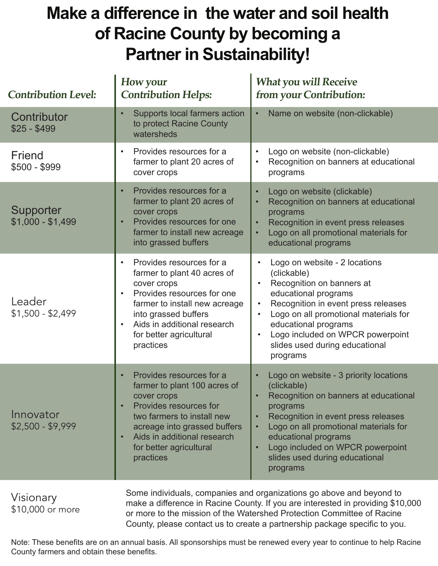## **Make a difference in the water and soil health of Racine County by becoming a Partner in Sustainability!**

| <b>Contribution Level:</b>     | How your<br><b>Contribution Helps:</b>                                                                                                                                                                                                              | <b>What you will Receive</b><br>from your Contribution:                                                                                                                                                                                                                                                                                                      |  |  |
|--------------------------------|-----------------------------------------------------------------------------------------------------------------------------------------------------------------------------------------------------------------------------------------------------|--------------------------------------------------------------------------------------------------------------------------------------------------------------------------------------------------------------------------------------------------------------------------------------------------------------------------------------------------------------|--|--|
| Contributor<br>$$25 - $499$    | Supports local farmers action<br>to protect Racine County<br>watersheds                                                                                                                                                                             | Name on website (non-clickable)<br>$\bullet$                                                                                                                                                                                                                                                                                                                 |  |  |
| Friend<br>$$500 - $999$        | Provides resources for a<br>farmer to plant 20 acres of<br>cover crops                                                                                                                                                                              | Logo on website (non-clickable)<br>Recognition on banners at educational<br>programs                                                                                                                                                                                                                                                                         |  |  |
| Supporter<br>$$1,000 - $1,499$ | Provides resources for a<br>farmer to plant 20 acres of<br>cover crops<br>Provides resources for one<br>farmer to install new acreage<br>into grassed buffers                                                                                       | Logo on website (clickable)<br>Recognition on banners at educational<br>programs<br>Recognition in event press releases<br>Logo on all promotional materials for<br>educational programs                                                                                                                                                                     |  |  |
| Leader<br>$$1,500 - $2,499$    | Provides resources for a<br>farmer to plant 40 acres of<br>cover crops<br>Provides resources for one<br>farmer to install new acreage<br>into grassed buffers<br>Aids in additional research<br>for better agricultural<br>practices                | Logo on website - 2 locations<br>$\bullet$<br>(clickable)<br>Recognition on banners at<br>$\bullet$<br>educational programs<br>Recognition in event press releases<br>$\bullet$<br>Logo on all promotional materials for<br>$\bullet$<br>educational programs<br>Logo included on WPCR powerpoint<br>$\bullet$<br>slides used during educational<br>programs |  |  |
| Innovator<br>$$2,500 - $9,999$ | Provides resources for a<br>farmer to plant 100 acres of<br>cover crops<br>Provides resources for<br>$\bullet$<br>two farmers to install new<br>acreage into grassed buffers<br>Aids in additional research<br>for better agricultural<br>practices | Logo on website - 3 priority locations<br>(clickable)<br>Recognition on banners at educational<br>programs<br>Recognition in event press releases<br>Logo on all promotional materials for<br>educational programs<br>Logo included on WPCR powerpoint<br>slides used during educational<br>programs                                                         |  |  |

Visionary \$10,000 or more Some individuals, companies and organizations go above and beyond to make a difference in Racine County. If you are interested in providing \$10,000 or more to the mission of the Watershed Protection Committee of Racine County, please contact us to create a partnership package specific to you.

Note: These benefits are on an annual basis. All sponsorships must be renewed every year to continue to help Racine County farmers and obtain these benefits.